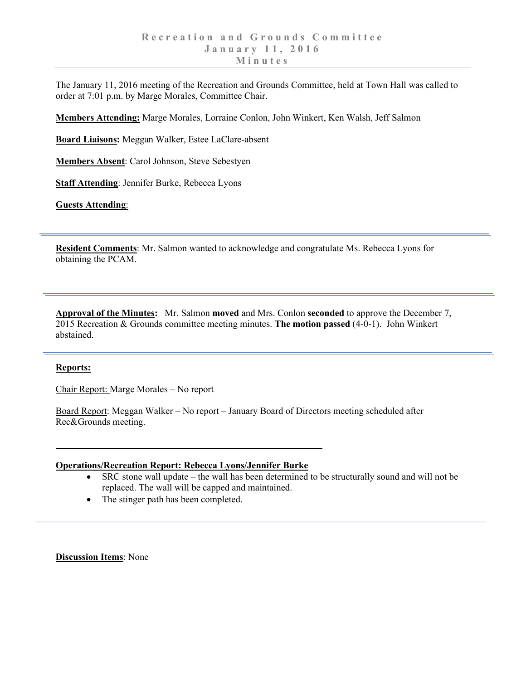The January 11, 2016 meeting of the Recreation and Grounds Committee, held at Town Hall was called to order at 7:01 p.m. by Marge Morales, Committee Chair.

**Members Attending:** Marge Morales, Lorraine Conlon, John Winkert, Ken Walsh, Jeff Salmon

**Board Liaisons:** Meggan Walker, Estee LaClare-absent

**Members Absent**: Carol Johnson, Steve Sebestyen

**Staff Attending**: Jennifer Burke, Rebecca Lyons

**Guests Attending**:

**Resident Comments**: Mr. Salmon wanted to acknowledge and congratulate Ms. Rebecca Lyons for obtaining the PCAM.

**Approval of the Minutes:** Mr. Salmon **moved** and Mrs. Conlon **seconded** to approve the December 7, 2015 Recreation & Grounds committee meeting minutes. **The motion passed** (4-0-1). John Winkert abstained.

## **Reports:**

Chair Report: Marge Morales – No report

Board Report: Meggan Walker – No report – January Board of Directors meeting scheduled after Rec&Grounds meeting.

## **Operations/Recreation Report: Rebecca Lyons/Jennifer Burke**

- SRC stone wall update the wall has been determined to be structurally sound and will not be replaced. The wall will be capped and maintained.
- The stinger path has been completed.

**Discussion Items**: None